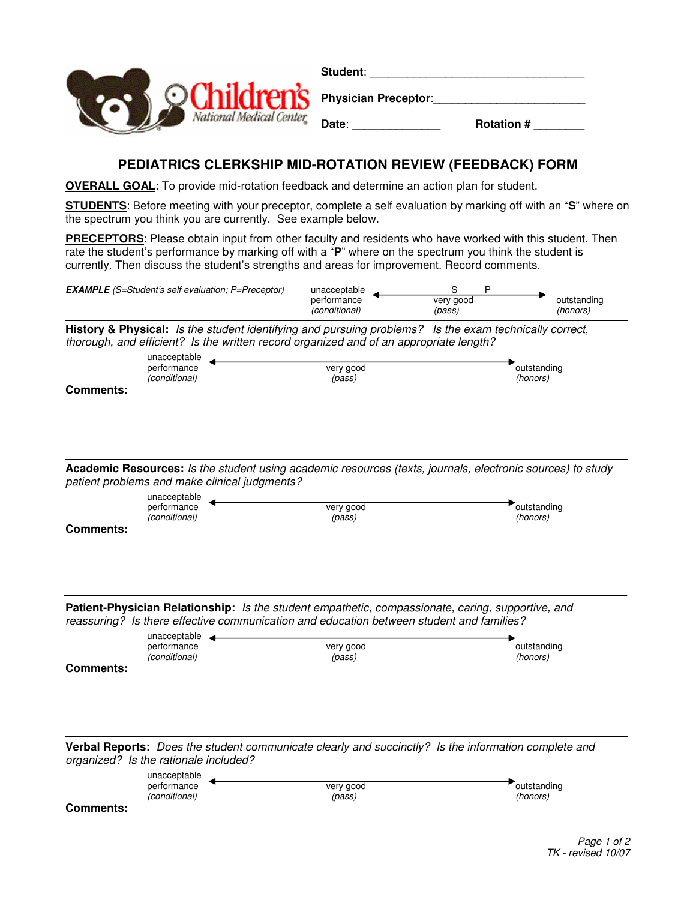

## **Student**: \_\_\_\_\_\_\_\_\_\_\_\_\_\_\_\_\_\_\_\_\_\_\_\_\_\_\_\_\_\_\_\_\_\_ **Physician Preceptor: Date**: \_\_\_\_\_\_\_\_\_\_\_\_\_\_ **Rotation #** \_\_\_\_\_\_\_\_

## **PEDIATRICS CLERKSHIP MID-ROTATION REVIEW (FEEDBACK) FORM**

**OVERALL GOAL**: To provide mid-rotation feedback and determine an action plan for student.

**STUDENTS**: Before meeting with your preceptor, complete a self evaluation by marking off with an "**S**" where on the spectrum you think you are currently. See example below.

**PRECEPTORS**: Please obtain input from other faculty and residents who have worked with this student. Then rate the student's performance by marking off with a "**P**" where on the spectrum you think the student is currently. Then discuss the student's strengths and areas for improvement. Record comments.

| <b>EXAMPLE</b> (S=Student's self evaluation: P=Preceptor) | unacceptable                 |                     |                         |
|-----------------------------------------------------------|------------------------------|---------------------|-------------------------|
|                                                           | performance<br>(conditional) | very good<br>(pass) | outstanding<br>(honors) |

**History & Physical:** Is the student identifying and pursuing problems? Is the exam technically correct, thorough, and efficient? Is the written record organized and of an appropriate length?

| unacceptable                 |                     |                         |
|------------------------------|---------------------|-------------------------|
| performance<br>(conditional) | very good<br>(pass) | outstanding<br>(honors) |
|                              |                     |                         |

**Comments:**

**Academic Resources:** Is the student using academic resources (texts, journals, electronic sources) to study patient problems and make clinical judgments?

|                  | unacceptable  |           |             |
|------------------|---------------|-----------|-------------|
|                  | performance   | very good | outstanding |
|                  | (conditional) | (pass)    | (honors)    |
| <b>Comments:</b> |               |           |             |

**Patient-Physician Relationship:** Is the student empathetic, compassionate, caring, supportive, and reassuring? Is there effective communication and education between student and families?

| unacceptable                 |                     |                         |
|------------------------------|---------------------|-------------------------|
| performance<br>(conditional) | very good<br>(pass) | outstanding<br>(honors) |
| <b>Comments:</b>             |                     |                         |

**Verbal Reports:** Does the student communicate clearly and succinctly? Is the information complete and organized? Is the rationale included?

| unacceptable  |           |             |
|---------------|-----------|-------------|
| performance   | very good | outstanding |
| (conditional) | (pass)    | (honors)    |

**Comments:**